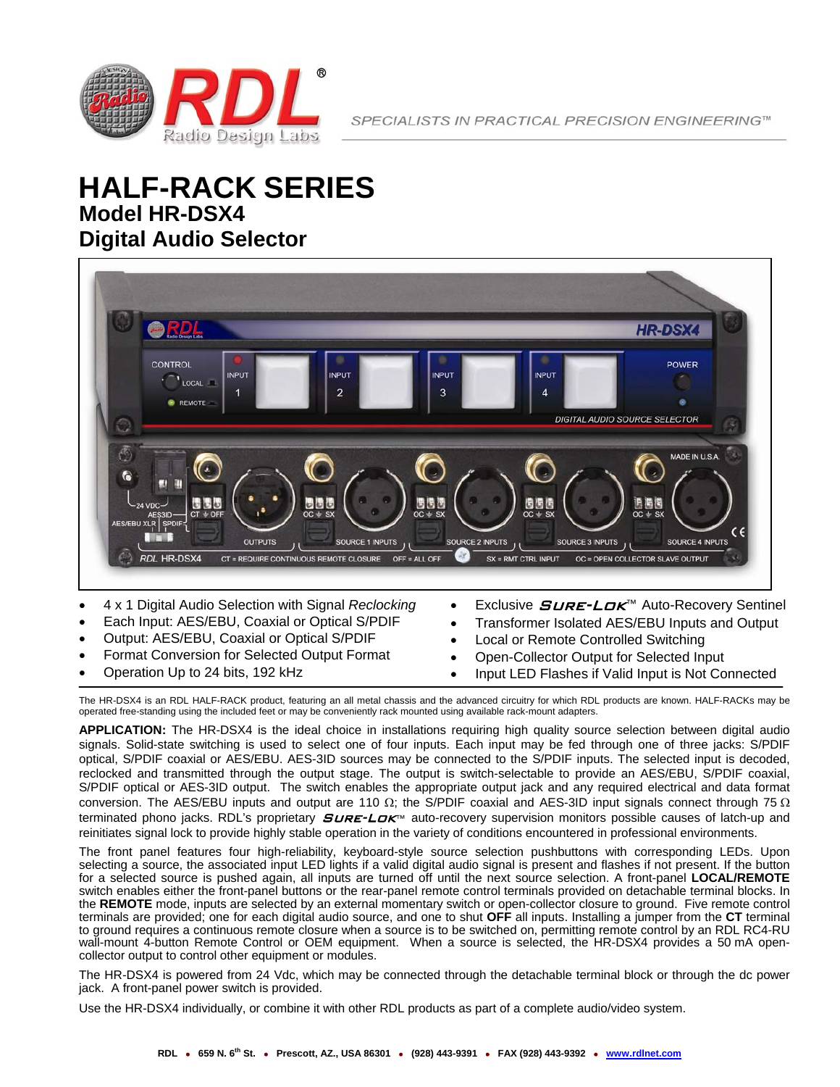

# **Model HR-DSX4 Digital Audio Selector HALF-RACK SERIES**



- Format Conversion for Selected Output Format
- Operation Up to 24 bits, 192 kHz
- Open-Collector Output for Selected Input
- Input LED Flashes if Valid Input is Not Connected

The HR-DSX4 is an RDL HALF-RACK product, featuring an all metal chassis and the advanced circuitry for which RDL products are known. HALF-RACKs may be operated free-standing using the included feet or may be conveniently rack mounted using available rack-mount adapters.

**APPLICATION:** The HR-DSX4 is the ideal choice in installations requiring high quality source selection between digital audio signals. Solid-state switching is used to select one of four inputs. Each input may be fed through one of three jacks: S/PDIF optical, S/PDIF coaxial or AES/EBU. AES-3ID sources may be connected to the S/PDIF inputs. The selected input is decoded, reclocked and transmitted through the output stage. The output is switch-selectable to provide an AES/EBU, S/PDIF coaxial, S/PDIF optical or AES-3ID output. The switch enables the appropriate output jack and any required electrical and data format conversion. The AES/EBU inputs and output are 110  $\Omega$ ; the S/PDIF coaxial and AES-3ID input signals connect through 75  $\Omega$ terminated phono jacks. RDL's proprietary *SuRE-LOK*™ auto-recovery supervision monitors possible causes of latch-up and reinitiates signal lock to provide highly stable operation in the variety of conditions encountered in professional environments.

The front panel features four high-reliability, keyboard-style source selection pushbuttons with corresponding LEDs. Upon selecting a source, the associated input LED lights if a valid digital audio signal is present and flashes if not present. If the button for a selected source is pushed again, all inputs are turned off until the next source selection. A front-panel **LOCAL/REMOTE**  switch enables either the front-panel buttons or the rear-panel remote control terminals provided on detachable terminal blocks. In the **REMOTE** mode, inputs are selected by an external momentary switch or open-collector closure to ground. Five remote control terminals are provided; one for each digital audio source, and one to shut **OFF** all inputs. Installing a jumper from the **CT** terminal to ground requires a continuous remote closure when a source is to be switched on, permitting remote control by an RDL RC4-RU wall-mount 4-button Remote Control or OEM equipment. When a source is selected, the HR-DSX4 provides a 50 mA opencollector output to control other equipment or modules.

The HR-DSX4 is powered from 24 Vdc, which may be connected through the detachable terminal block or through the dc power jack. A front-panel power switch is provided.

Use the HR-DSX4 individually, or combine it with other RDL products as part of a complete audio/video system.